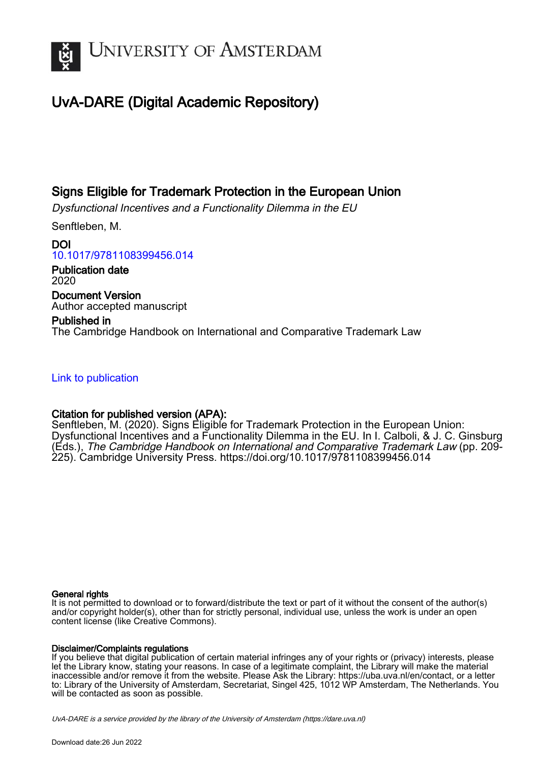

# UvA-DARE (Digital Academic Repository)

## Signs Eligible for Trademark Protection in the European Union

Dysfunctional Incentives and a Functionality Dilemma in the EU

Senftleben, M.

DOI [10.1017/9781108399456.014](https://doi.org/10.1017/9781108399456.014)

Publication date 2020 Document Version

Author accepted manuscript

#### Published in

The Cambridge Handbook on International and Comparative Trademark Law

[Link to publication](https://dare.uva.nl/personal/pure/en/publications/signs-eligible-for-trademark-protection-in-the-european-union(2634b436-e59b-4920-b056-b95dd069a14c).html)

#### Citation for published version (APA):

Senftleben, M. (2020). Signs Eligible for Trademark Protection in the European Union: Dysfunctional Incentives and a Functionality Dilemma in the EU. In I. Calboli, & J. C. Ginsburg (Eds.), The Cambridge Handbook on International and Comparative Trademark Law (pp. 209- 225). Cambridge University Press. <https://doi.org/10.1017/9781108399456.014>

#### General rights

It is not permitted to download or to forward/distribute the text or part of it without the consent of the author(s) and/or copyright holder(s), other than for strictly personal, individual use, unless the work is under an open content license (like Creative Commons).

#### Disclaimer/Complaints regulations

If you believe that digital publication of certain material infringes any of your rights or (privacy) interests, please let the Library know, stating your reasons. In case of a legitimate complaint, the Library will make the material inaccessible and/or remove it from the website. Please Ask the Library: https://uba.uva.nl/en/contact, or a letter to: Library of the University of Amsterdam, Secretariat, Singel 425, 1012 WP Amsterdam, The Netherlands. You will be contacted as soon as possible.

UvA-DARE is a service provided by the library of the University of Amsterdam (http*s*://dare.uva.nl)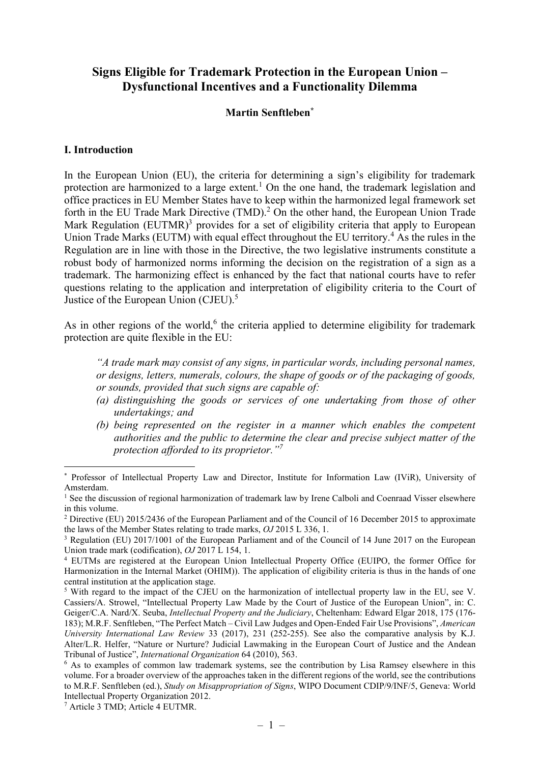## Signs Eligible for Trademark Protection in the European Union – Dysfunctional Incentives and a Functionality Dilemma

#### Martin Senftleben\*

#### I. Introduction

In the European Union (EU), the criteria for determining a sign's eligibility for trademark protection are harmonized to a large extent.<sup>1</sup> On the one hand, the trademark legislation and office practices in EU Member States have to keep within the harmonized legal framework set forth in the EU Trade Mark Directive (TMD).<sup>2</sup> On the other hand, the European Union Trade Mark Regulation (EUTMR)<sup>3</sup> provides for a set of eligibility criteria that apply to European Union Trade Marks (EUTM) with equal effect throughout the EU territory.<sup>4</sup> As the rules in the Regulation are in line with those in the Directive, the two legislative instruments constitute a robust body of harmonized norms informing the decision on the registration of a sign as a trademark. The harmonizing effect is enhanced by the fact that national courts have to refer questions relating to the application and interpretation of eligibility criteria to the Court of Justice of the European Union (CJEU).<sup>5</sup>

As in other regions of the world, $6$  the criteria applied to determine eligibility for trademark protection are quite flexible in the EU:

"A trade mark may consist of any signs, in particular words, including personal names, or designs, letters, numerals, colours, the shape of goods or of the packaging of goods, or sounds, provided that such signs are capable of:

- (a) distinguishing the goods or services of one undertaking from those of other undertakings; and
- (b) being represented on the register in a manner which enables the competent authorities and the public to determine the clear and precise subject matter of the protection afforded to its proprietor."<sup>7</sup>

<sup>\*</sup> Professor of Intellectual Property Law and Director, Institute for Information Law (IViR), University of Amsterdam.

<sup>&</sup>lt;sup>1</sup> See the discussion of regional harmonization of trademark law by Irene Calboli and Coenraad Visser elsewhere in this volume.

<sup>&</sup>lt;sup>2</sup> Directive (EU) 2015/2436 of the European Parliament and of the Council of 16 December 2015 to approximate the laws of the Member States relating to trade marks, OJ 2015 L 336, 1.

<sup>&</sup>lt;sup>3</sup> Regulation (EU) 2017/1001 of the European Parliament and of the Council of 14 June 2017 on the European Union trade mark (codification), OJ 2017 L 154, 1.

<sup>4</sup> EUTMs are registered at the European Union Intellectual Property Office (EUIPO, the former Office for Harmonization in the Internal Market (OHIM)). The application of eligibility criteria is thus in the hands of one central institution at the application stage.

<sup>&</sup>lt;sup>5</sup> With regard to the impact of the CJEU on the harmonization of intellectual property law in the EU, see V. Cassiers/A. Strowel, "Intellectual Property Law Made by the Court of Justice of the European Union", in: C. Geiger/C.A. Nard/X. Seuba, *Intellectual Property and the Judiciary*, Cheltenham: Edward Elgar 2018, 175 (176-183); M.R.F. Senftleben, "The Perfect Match – Civil Law Judges and Open-Ended Fair Use Provisions", American University International Law Review 33 (2017), 231 (252-255). See also the comparative analysis by K.J. Alter/L.R. Helfer, "Nature or Nurture? Judicial Lawmaking in the European Court of Justice and the Andean Tribunal of Justice", International Organization 64 (2010), 563.

<sup>&</sup>lt;sup>6</sup> As to examples of common law trademark systems, see the contribution by Lisa Ramsey elsewhere in this volume. For a broader overview of the approaches taken in the different regions of the world, see the contributions to M.R.F. Senftleben (ed.), Study on Misappropriation of Signs, WIPO Document CDIP/9/INF/5, Geneva: World Intellectual Property Organization 2012.

<sup>7</sup> Article 3 TMD; Article 4 EUTMR.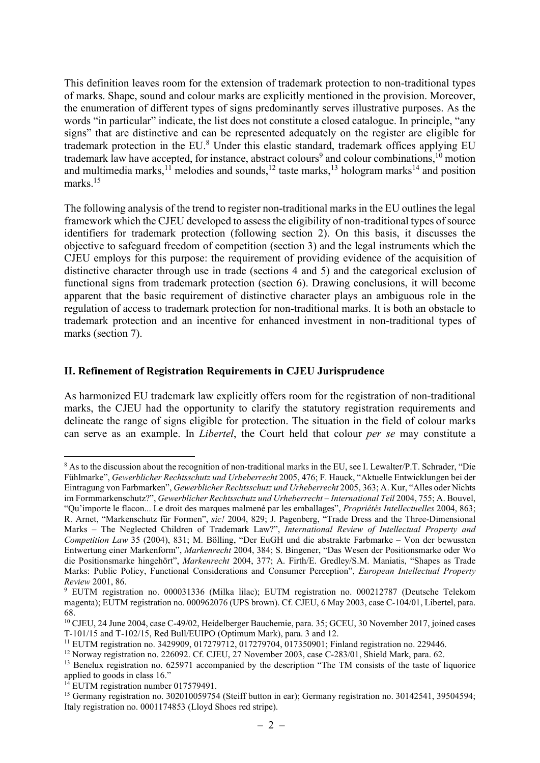This definition leaves room for the extension of trademark protection to non-traditional types of marks. Shape, sound and colour marks are explicitly mentioned in the provision. Moreover, the enumeration of different types of signs predominantly serves illustrative purposes. As the words "in particular" indicate, the list does not constitute a closed catalogue. In principle, "any signs" that are distinctive and can be represented adequately on the register are eligible for trademark protection in the EU. $<sup>8</sup>$  Under this elastic standard, trademark offices applying EU</sup> trademark law have accepted, for instance, abstract colours<sup>9</sup> and colour combinations,  $^{10}$  motion and multimedia marks, $^{11}$  melodies and sounds, $^{12}$  taste marks, $^{13}$  hologram marks<sup>14</sup> and position marks<sup>15</sup>

The following analysis of the trend to register non-traditional marks in the EU outlines the legal framework which the CJEU developed to assess the eligibility of non-traditional types of source identifiers for trademark protection (following section 2). On this basis, it discusses the objective to safeguard freedom of competition (section 3) and the legal instruments which the CJEU employs for this purpose: the requirement of providing evidence of the acquisition of distinctive character through use in trade (sections 4 and 5) and the categorical exclusion of functional signs from trademark protection (section 6). Drawing conclusions, it will become apparent that the basic requirement of distinctive character plays an ambiguous role in the regulation of access to trademark protection for non-traditional marks. It is both an obstacle to trademark protection and an incentive for enhanced investment in non-traditional types of marks (section 7).

## II. Refinement of Registration Requirements in CJEU Jurisprudence

As harmonized EU trademark law explicitly offers room for the registration of non-traditional marks, the CJEU had the opportunity to clarify the statutory registration requirements and delineate the range of signs eligible for protection. The situation in the field of colour marks can serve as an example. In Libertel, the Court held that colour per se may constitute a

<sup>8</sup> As to the discussion about the recognition of non-traditional marks in the EU, see I. Lewalter/P.T. Schrader, "Die Fühlmarke", Gewerblicher Rechtsschutz und Urheberrecht 2005, 476; F. Hauck, "Aktuelle Entwicklungen bei der Eintragung von Farbmarken", Gewerblicher Rechtsschutz und Urheberrecht 2005, 363; A. Kur, "Alles oder Nichts im Formmarkenschutz?", Gewerblicher Rechtsschutz und Urheberrecht – International Teil 2004, 755; A. Bouvel, "Qu'importe le flacon... Le droit des marques malmené par les emballages", Propriétés Intellectuelles 2004, 863; R. Arnet, "Markenschutz für Formen", sic! 2004, 829; J. Pagenberg, "Trade Dress and the Three-Dimensional Marks – The Neglected Children of Trademark Law?", International Review of Intellectual Property and

Competition Law 35 (2004), 831; M. Bölling, "Der EuGH und die abstrakte Farbmarke – Von der bewussten Entwertung einer Markenform", Markenrecht 2004, 384; S. Bingener, "Das Wesen der Positionsmarke oder Wo die Positionsmarke hingehört", Markenrecht 2004, 377; A. Firth/E. Gredley/S.M. Maniatis, "Shapes as Trade Marks: Public Policy, Functional Considerations and Consumer Perception", European Intellectual Property Review 2001, 86.

<sup>9</sup> EUTM registration no. 000031336 (Milka lilac); EUTM registration no. 000212787 (Deutsche Telekom magenta); EUTM registration no. 000962076 (UPS brown). Cf. CJEU, 6 May 2003, case C-104/01, Libertel, para. 68.

<sup>&</sup>lt;sup>10</sup> CJEU, 24 June 2004, case C-49/02, Heidelberger Bauchemie, para. 35; GCEU, 30 November 2017, joined cases T-101/15 and T-102/15, Red Bull/EUIPO (Optimum Mark), para. 3 and 12.

<sup>11</sup> EUTM registration no. 3429909, 017279712, 017279704, 017350901; Finland registration no. 229446.

<sup>&</sup>lt;sup>12</sup> Norway registration no. 226092. Cf. CJEU, 27 November 2003, case C-283/01, Shield Mark, para. 62.

<sup>&</sup>lt;sup>13</sup> Benelux registration no. 625971 accompanied by the description "The TM consists of the taste of liquorice applied to goods in class 16."

<sup>&</sup>lt;sup>14</sup> EUTM registration number 017579491.

<sup>&</sup>lt;sup>15</sup> Germany registration no. 302010059754 (Steiff button in ear); Germany registration no. 30142541, 39504594; Italy registration no. 0001174853 (Lloyd Shoes red stripe).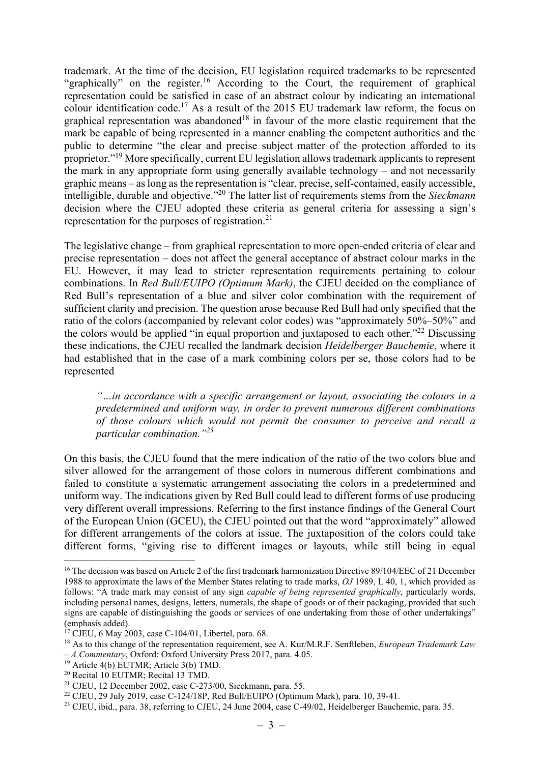trademark. At the time of the decision, EU legislation required trademarks to be represented "graphically" on the register.<sup>16</sup> According to the Court, the requirement of graphical representation could be satisfied in case of an abstract colour by indicating an international colour identification code.<sup>17</sup> As a result of the 2015 EU trademark law reform, the focus on graphical representation was abandoned<sup>18</sup> in favour of the more elastic requirement that the mark be capable of being represented in a manner enabling the competent authorities and the public to determine "the clear and precise subject matter of the protection afforded to its proprietor."<sup>19</sup> More specifically, current EU legislation allows trademark applicants to represent the mark in any appropriate form using generally available technology – and not necessarily graphic means – as long as the representation is "clear, precise, self-contained, easily accessible, intelligible, durable and objective."<sup>20</sup> The latter list of requirements stems from the Sieckmann decision where the CJEU adopted these criteria as general criteria for assessing a sign's representation for the purposes of registration. $^{21}$ 

The legislative change – from graphical representation to more open-ended criteria of clear and precise representation – does not affect the general acceptance of abstract colour marks in the EU. However, it may lead to stricter representation requirements pertaining to colour combinations. In Red Bull/EUIPO (Optimum Mark), the CJEU decided on the compliance of Red Bull's representation of a blue and silver color combination with the requirement of sufficient clarity and precision. The question arose because Red Bull had only specified that the ratio of the colors (accompanied by relevant color codes) was "approximately 50%–50%" and the colors would be applied "in equal proportion and juxtaposed to each other."<sup>22</sup> Discussing these indications, the CJEU recalled the landmark decision Heidelberger Bauchemie, where it had established that in the case of a mark combining colors per se, those colors had to be represented

"…in accordance with a specific arrangement or layout, associating the colours in a predetermined and uniform way, in order to prevent numerous different combinations of those colours which would not permit the consumer to perceive and recall a particular combination."<sup>23</sup>

On this basis, the CJEU found that the mere indication of the ratio of the two colors blue and silver allowed for the arrangement of those colors in numerous different combinations and failed to constitute a systematic arrangement associating the colors in a predetermined and uniform way. The indications given by Red Bull could lead to different forms of use producing very different overall impressions. Referring to the first instance findings of the General Court of the European Union (GCEU), the CJEU pointed out that the word "approximately" allowed for different arrangements of the colors at issue. The juxtaposition of the colors could take different forms, "giving rise to different images or layouts, while still being in equal

<sup>&</sup>lt;sup>16</sup> The decision was based on Article 2 of the first trademark harmonization Directive 89/104/EEC of 21 December 1988 to approximate the laws of the Member States relating to trade marks, OJ 1989, L 40, 1, which provided as follows: "A trade mark may consist of any sign *capable of being represented graphically*, particularly words, including personal names, designs, letters, numerals, the shape of goods or of their packaging, provided that such signs are capable of distinguishing the goods or services of one undertaking from those of other undertakings" (emphasis added).

 $17$  CJEU, 6 May 2003, case C-104/01, Libertel, para. 68.

<sup>&</sup>lt;sup>18</sup> As to this change of the representation requirement, see A. Kur/M.R.F. Senftleben, *European Trademark Law* – A Commentary, Oxford: Oxford University Press 2017, para. 4.05.

<sup>19</sup> Article 4(b) EUTMR; Article 3(b) TMD.

<sup>20</sup> Recital 10 EUTMR; Recital 13 TMD.

 $21$  CJEU, 12 December 2002, case C-273/00, Sieckmann, para. 55.

<sup>&</sup>lt;sup>22</sup> CJEU, 29 July 2019, case C-124/18P, Red Bull/EUIPO (Optimum Mark), para. 10, 39-41.

<sup>&</sup>lt;sup>23</sup> CJEU, ibid., para. 38, referring to CJEU, 24 June 2004, case C-49/02, Heidelberger Bauchemie, para. 35.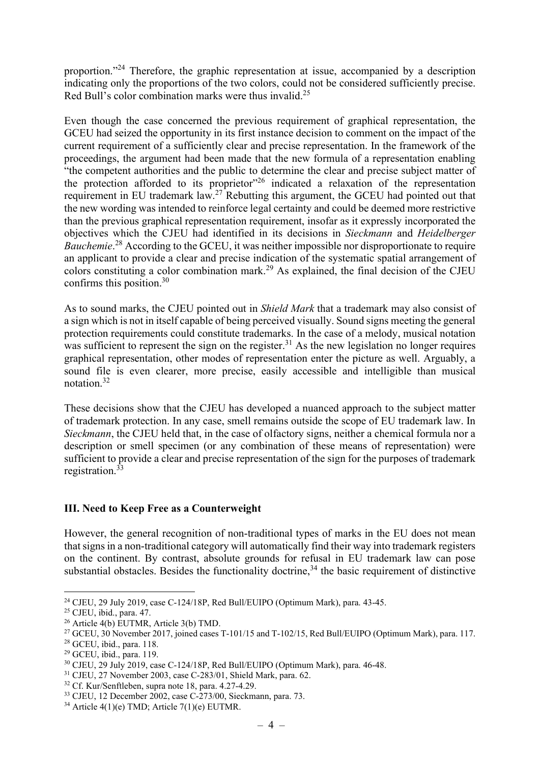proportion."<sup>24</sup> Therefore, the graphic representation at issue, accompanied by a description indicating only the proportions of the two colors, could not be considered sufficiently precise. Red Bull's color combination marks were thus invalid.<sup>25</sup>

Even though the case concerned the previous requirement of graphical representation, the GCEU had seized the opportunity in its first instance decision to comment on the impact of the current requirement of a sufficiently clear and precise representation. In the framework of the proceedings, the argument had been made that the new formula of a representation enabling "the competent authorities and the public to determine the clear and precise subject matter of the protection afforded to its proprietor"<sup>26</sup> indicated a relaxation of the representation requirement in EU trademark law.<sup>27</sup> Rebutting this argument, the GCEU had pointed out that the new wording was intended to reinforce legal certainty and could be deemed more restrictive than the previous graphical representation requirement, insofar as it expressly incorporated the objectives which the CJEU had identified in its decisions in Sieckmann and Heidelberger Bauchemie.<sup>28</sup> According to the GCEU, it was neither impossible nor disproportionate to require an applicant to provide a clear and precise indication of the systematic spatial arrangement of colors constituting a color combination mark.<sup>29</sup> As explained, the final decision of the CJEU confirms this position. $30$ 

As to sound marks, the CJEU pointed out in Shield Mark that a trademark may also consist of a sign which is not in itself capable of being perceived visually. Sound signs meeting the general protection requirements could constitute trademarks. In the case of a melody, musical notation was sufficient to represent the sign on the register.<sup>31</sup> As the new legislation no longer requires graphical representation, other modes of representation enter the picture as well. Arguably, a sound file is even clearer, more precise, easily accessible and intelligible than musical notation.<sup>32</sup>

These decisions show that the CJEU has developed a nuanced approach to the subject matter of trademark protection. In any case, smell remains outside the scope of EU trademark law. In Sieckmann, the CJEU held that, in the case of olfactory signs, neither a chemical formula nor a description or smell specimen (or any combination of these means of representation) were sufficient to provide a clear and precise representation of the sign for the purposes of trademark registration.<sup>33</sup>

## III. Need to Keep Free as a Counterweight

However, the general recognition of non-traditional types of marks in the EU does not mean that signs in a non-traditional category will automatically find their way into trademark registers on the continent. By contrast, absolute grounds for refusal in EU trademark law can pose substantial obstacles. Besides the functionality doctrine,<sup>34</sup> the basic requirement of distinctive

<sup>&</sup>lt;sup>24</sup> CJEU, 29 July 2019, case C-124/18P, Red Bull/EUIPO (Optimum Mark), para.  $43-45$ .

<sup>25</sup> CJEU, ibid., para. 47.

<sup>26</sup> Article 4(b) EUTMR, Article 3(b) TMD.

<sup>&</sup>lt;sup>27</sup> GCEU, 30 November 2017, joined cases T-101/15 and T-102/15, Red Bull/EUIPO (Optimum Mark), para. 117.

<sup>28</sup> GCEU, ibid., para. 118.

<sup>29</sup> GCEU, ibid., para. 119.

<sup>30</sup> CJEU, 29 July 2019, case C-124/18P, Red Bull/EUIPO (Optimum Mark), para. 46-48.

<sup>31</sup> CJEU, 27 November 2003, case C-283/01, Shield Mark, para. 62.

<sup>32</sup> Cf. Kur/Senftleben, supra note 18, para. 4.27-4.29.

<sup>33</sup> CJEU, 12 December 2002, case C-273/00, Sieckmann, para. 73.

 $34$  Article 4(1)(e) TMD; Article 7(1)(e) EUTMR.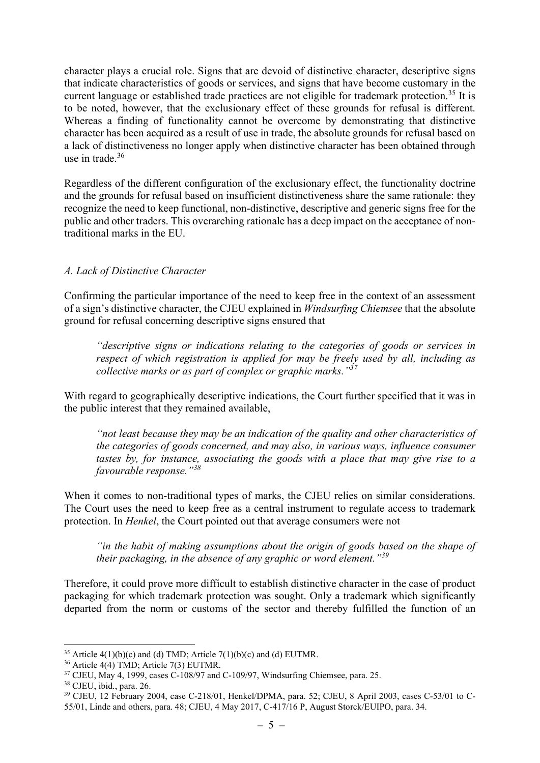character plays a crucial role. Signs that are devoid of distinctive character, descriptive signs that indicate characteristics of goods or services, and signs that have become customary in the current language or established trade practices are not eligible for trademark protection.<sup>35</sup> It is to be noted, however, that the exclusionary effect of these grounds for refusal is different. Whereas a finding of functionality cannot be overcome by demonstrating that distinctive character has been acquired as a result of use in trade, the absolute grounds for refusal based on a lack of distinctiveness no longer apply when distinctive character has been obtained through use in trade.<sup>36</sup>

Regardless of the different configuration of the exclusionary effect, the functionality doctrine and the grounds for refusal based on insufficient distinctiveness share the same rationale: they recognize the need to keep functional, non-distinctive, descriptive and generic signs free for the public and other traders. This overarching rationale has a deep impact on the acceptance of nontraditional marks in the EU.

## A. Lack of Distinctive Character

Confirming the particular importance of the need to keep free in the context of an assessment of a sign's distinctive character, the CJEU explained in Windsurfing Chiemsee that the absolute ground for refusal concerning descriptive signs ensured that

"descriptive signs or indications relating to the categories of goods or services in respect of which registration is applied for may be freely used by all, including as collective marks or as part of complex or graphic marks." $37$ 

With regard to geographically descriptive indications, the Court further specified that it was in the public interest that they remained available,

"not least because they may be an indication of the quality and other characteristics of the categories of goods concerned, and may also, in various ways, influence consumer tastes by, for instance, associating the goods with a place that may give rise to a favourable response."<sup>38</sup>

When it comes to non-traditional types of marks, the CJEU relies on similar considerations. The Court uses the need to keep free as a central instrument to regulate access to trademark protection. In Henkel, the Court pointed out that average consumers were not

"in the habit of making assumptions about the origin of goods based on the shape of their packaging, in the absence of any graphic or word element.<sup>"39</sup>

Therefore, it could prove more difficult to establish distinctive character in the case of product packaging for which trademark protection was sought. Only a trademark which significantly departed from the norm or customs of the sector and thereby fulfilled the function of an

<sup>&</sup>lt;sup>35</sup> Article 4(1)(b)(c) and (d) TMD; Article 7(1)(b)(c) and (d) EUTMR.

<sup>36</sup> Article 4(4) TMD; Article 7(3) EUTMR.

 $37$  CJEU, May 4, 1999, cases C-108/97 and C-109/97, Windsurfing Chiemsee, para. 25.

<sup>38</sup> CJEU, ibid., para. 26.

<sup>39</sup> CJEU, 12 February 2004, case C-218/01, Henkel/DPMA, para. 52; CJEU, 8 April 2003, cases C-53/01 to C-55/01, Linde and others, para. 48; CJEU, 4 May 2017, C-417/16 P, August Storck/EUIPO, para. 34.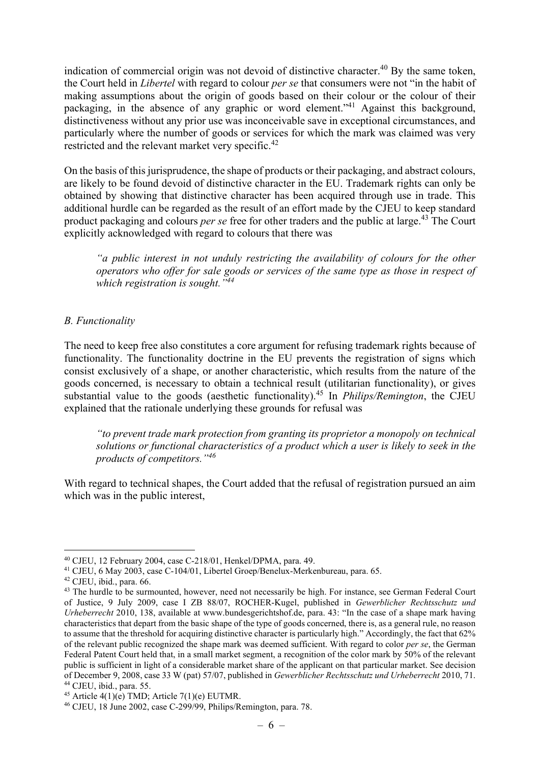indication of commercial origin was not devoid of distinctive character.<sup>40</sup> By the same token, the Court held in Libertel with regard to colour per se that consumers were not "in the habit of making assumptions about the origin of goods based on their colour or the colour of their packaging, in the absence of any graphic or word element."<sup>41</sup> Against this background, distinctiveness without any prior use was inconceivable save in exceptional circumstances, and particularly where the number of goods or services for which the mark was claimed was very restricted and the relevant market very specific.<sup>42</sup>

On the basis of this jurisprudence, the shape of products or their packaging, and abstract colours, are likely to be found devoid of distinctive character in the EU. Trademark rights can only be obtained by showing that distinctive character has been acquired through use in trade. This additional hurdle can be regarded as the result of an effort made by the CJEU to keep standard product packaging and colours per se free for other traders and the public at large.<sup>43</sup> The Court explicitly acknowledged with regard to colours that there was

"a public interest in not unduly restricting the availability of colours for the other operators who offer for sale goods or services of the same type as those in respect of which registration is sought."<sup>44</sup>

#### B. Functionality

The need to keep free also constitutes a core argument for refusing trademark rights because of functionality. The functionality doctrine in the EU prevents the registration of signs which consist exclusively of a shape, or another characteristic, which results from the nature of the goods concerned, is necessary to obtain a technical result (utilitarian functionality), or gives substantial value to the goods (aesthetic functionality).<sup>45</sup> In *Philips/Remington*, the CJEU explained that the rationale underlying these grounds for refusal was

"to prevent trade mark protection from granting its proprietor a monopoly on technical solutions or functional characteristics of a product which a user is likely to seek in the products of competitors."<sup>46</sup>

With regard to technical shapes, the Court added that the refusal of registration pursued an aim which was in the public interest,

<sup>40</sup> CJEU, 12 February 2004, case C-218/01, Henkel/DPMA, para. 49.

<sup>41</sup> CJEU, 6 May 2003, case C-104/01, Libertel Groep/Benelux-Merkenbureau, para. 65.

 $42$  CJEU, ibid., para. 66.

<sup>&</sup>lt;sup>43</sup> The hurdle to be surmounted, however, need not necessarily be high. For instance, see German Federal Court of Justice, 9 July 2009, case I ZB 88/07, ROCHER-Kugel, published in Gewerblicher Rechtsschutz und Urheberrecht 2010, 138, available at www.bundesgerichtshof.de, para. 43: "In the case of a shape mark having characteristics that depart from the basic shape of the type of goods concerned, there is, as a general rule, no reason to assume that the threshold for acquiring distinctive character is particularly high." Accordingly, the fact that 62% of the relevant public recognized the shape mark was deemed sufficient. With regard to color per se, the German Federal Patent Court held that, in a small market segment, a recognition of the color mark by 50% of the relevant public is sufficient in light of a considerable market share of the applicant on that particular market. See decision of December 9, 2008, case 33 W (pat) 57/07, published in Gewerblicher Rechtsschutz und Urheberrecht 2010, 71. <sup>44</sup> CJEU, ibid., para. 55.

<sup>&</sup>lt;sup>45</sup> Article  $4(1)(e)$  TMD; Article  $7(1)(e)$  EUTMR.

<sup>46</sup> CJEU, 18 June 2002, case C-299/99, Philips/Remington, para. 78.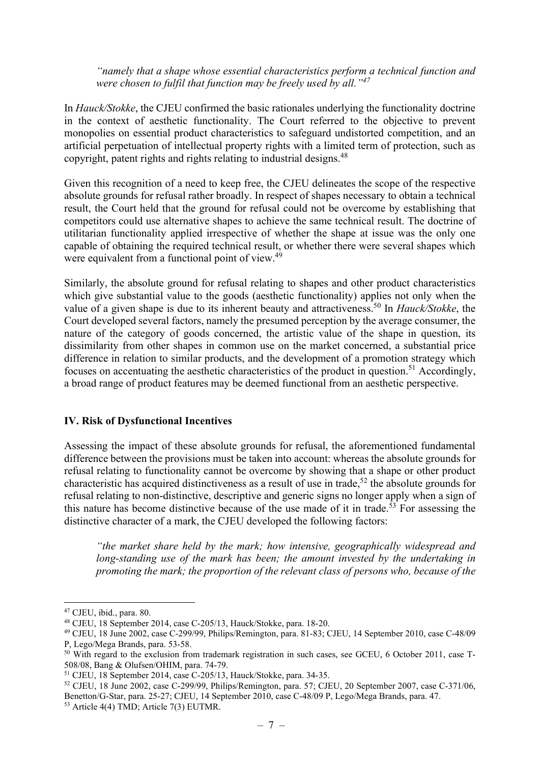"namely that a shape whose essential characteristics perform a technical function and were chosen to fulfil that function may be freely used by all."<sup>47</sup>

In Hauck/Stokke, the CJEU confirmed the basic rationales underlying the functionality doctrine in the context of aesthetic functionality. The Court referred to the objective to prevent monopolies on essential product characteristics to safeguard undistorted competition, and an artificial perpetuation of intellectual property rights with a limited term of protection, such as copyright, patent rights and rights relating to industrial designs.<sup>48</sup>

Given this recognition of a need to keep free, the CJEU delineates the scope of the respective absolute grounds for refusal rather broadly. In respect of shapes necessary to obtain a technical result, the Court held that the ground for refusal could not be overcome by establishing that competitors could use alternative shapes to achieve the same technical result. The doctrine of utilitarian functionality applied irrespective of whether the shape at issue was the only one capable of obtaining the required technical result, or whether there were several shapes which were equivalent from a functional point of view.<sup>49</sup>

Similarly, the absolute ground for refusal relating to shapes and other product characteristics which give substantial value to the goods (aesthetic functionality) applies not only when the value of a given shape is due to its inherent beauty and attractiveness.<sup>50</sup> In *Hauck/Stokke*, the Court developed several factors, namely the presumed perception by the average consumer, the nature of the category of goods concerned, the artistic value of the shape in question, its dissimilarity from other shapes in common use on the market concerned, a substantial price difference in relation to similar products, and the development of a promotion strategy which focuses on accentuating the aesthetic characteristics of the product in question.<sup>51</sup> Accordingly, a broad range of product features may be deemed functional from an aesthetic perspective.

## IV. Risk of Dysfunctional Incentives

Assessing the impact of these absolute grounds for refusal, the aforementioned fundamental difference between the provisions must be taken into account: whereas the absolute grounds for refusal relating to functionality cannot be overcome by showing that a shape or other product characteristic has acquired distinctiveness as a result of use in trade,<sup>52</sup> the absolute grounds for refusal relating to non-distinctive, descriptive and generic signs no longer apply when a sign of this nature has become distinctive because of the use made of it in trade.<sup>53</sup> For assessing the distinctive character of a mark, the CJEU developed the following factors:

"the market share held by the mark; how intensive, geographically widespread and long-standing use of the mark has been; the amount invested by the undertaking in promoting the mark; the proportion of the relevant class of persons who, because of the

<sup>47</sup> CJEU, ibid., para. 80.

<sup>48</sup> CJEU, 18 September 2014, case C-205/13, Hauck/Stokke, para. 18-20.

<sup>49</sup> CJEU, 18 June 2002, case C-299/99, Philips/Remington, para. 81-83; CJEU, 14 September 2010, case C-48/09 P, Lego/Mega Brands, para. 53-58.

<sup>50</sup> With regard to the exclusion from trademark registration in such cases, see GCEU, 6 October 2011, case T-508/08, Bang & Olufsen/OHIM, para. 74-79.

<sup>51</sup> CJEU, 18 September 2014, case C-205/13, Hauck/Stokke, para. 34-35.

<sup>52</sup> CJEU, 18 June 2002, case C-299/99, Philips/Remington, para. 57; CJEU, 20 September 2007, case C-371/06, Benetton/G-Star, para. 25-27; CJEU, 14 September 2010, case C-48/09 P, Lego/Mega Brands, para. 47.

<sup>53</sup> Article 4(4) TMD; Article 7(3) EUTMR.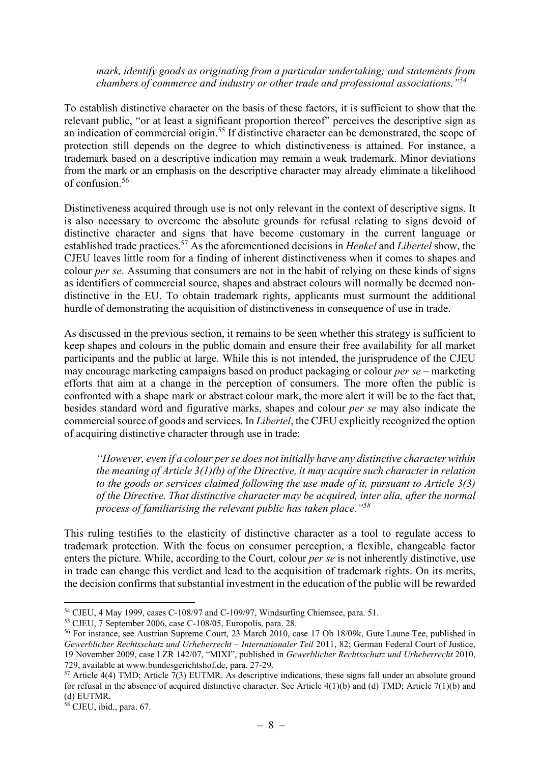mark, identify goods as originating from a particular undertaking; and statements from chambers of commerce and industry or other trade and professional associations." $54$ 

To establish distinctive character on the basis of these factors, it is sufficient to show that the relevant public, "or at least a significant proportion thereof" perceives the descriptive sign as an indication of commercial origin.<sup>55</sup> If distinctive character can be demonstrated, the scope of protection still depends on the degree to which distinctiveness is attained. For instance, a trademark based on a descriptive indication may remain a weak trademark. Minor deviations from the mark or an emphasis on the descriptive character may already eliminate a likelihood of confusion.<sup>56</sup>

Distinctiveness acquired through use is not only relevant in the context of descriptive signs. It is also necessary to overcome the absolute grounds for refusal relating to signs devoid of distinctive character and signs that have become customary in the current language or established trade practices.<sup>57</sup> As the aforementioned decisions in *Henkel* and *Libertel* show, the CJEU leaves little room for a finding of inherent distinctiveness when it comes to shapes and colour *per se*. Assuming that consumers are not in the habit of relying on these kinds of signs as identifiers of commercial source, shapes and abstract colours will normally be deemed nondistinctive in the EU. To obtain trademark rights, applicants must surmount the additional hurdle of demonstrating the acquisition of distinctiveness in consequence of use in trade.

As discussed in the previous section, it remains to be seen whether this strategy is sufficient to keep shapes and colours in the public domain and ensure their free availability for all market participants and the public at large. While this is not intended, the jurisprudence of the CJEU may encourage marketing campaigns based on product packaging or colour *per se* – marketing efforts that aim at a change in the perception of consumers. The more often the public is confronted with a shape mark or abstract colour mark, the more alert it will be to the fact that, besides standard word and figurative marks, shapes and colour per se may also indicate the commercial source of goods and services. In Libertel, the CJEU explicitly recognized the option of acquiring distinctive character through use in trade:

"However, even if a colour per se does not initially have any distinctive character within the meaning of Article 3(1)(b) of the Directive, it may acquire such character in relation to the goods or services claimed following the use made of it, pursuant to Article 3(3) of the Directive. That distinctive character may be acquired, inter alia, after the normal process of familiarising the relevant public has taken place."<sup>58</sup>

This ruling testifies to the elasticity of distinctive character as a tool to regulate access to trademark protection. With the focus on consumer perception, a flexible, changeable factor enters the picture. While, according to the Court, colour *per se* is not inherently distinctive, use in trade can change this verdict and lead to the acquisition of trademark rights. On its merits, the decision confirms that substantial investment in the education of the public will be rewarded

<sup>54</sup> CJEU, 4 May 1999, cases C-108/97 and C-109/97, Windsurfing Chiemsee, para. 51.

<sup>55</sup> CJEU, 7 September 2006, case C-108/05, Europolis, para. 28.

<sup>56</sup> For instance, see Austrian Supreme Court, 23 March 2010, case 17 Ob 18/09k, Gute Laune Tee, published in Gewerblicher Rechtsschutz und Urheberrecht – Internationaler Teil 2011, 82; German Federal Court of Justice, 19 November 2009, case I ZR 142/07, "MIXI", published in Gewerblicher Rechtsschutz und Urheberrecht 2010, 729, available at www.bundesgerichtshof.de, para. 27-29.

<sup>57</sup> Article 4(4) TMD; Article 7(3) EUTMR. As descriptive indications, these signs fall under an absolute ground for refusal in the absence of acquired distinctive character. See Article  $4(1)(b)$  and (d) TMD; Article  $7(1)(b)$  and (d) EUTMR.

<sup>58</sup> CJEU, ibid., para. 67.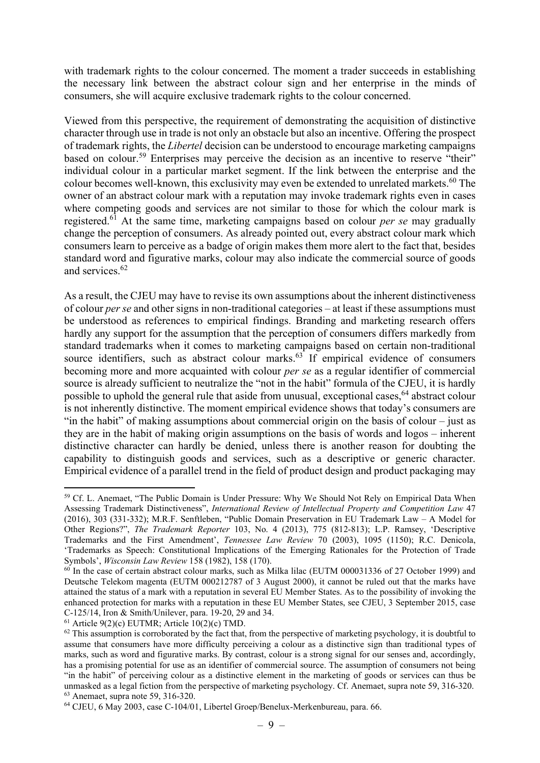with trademark rights to the colour concerned. The moment a trader succeeds in establishing the necessary link between the abstract colour sign and her enterprise in the minds of consumers, she will acquire exclusive trademark rights to the colour concerned.

Viewed from this perspective, the requirement of demonstrating the acquisition of distinctive character through use in trade is not only an obstacle but also an incentive. Offering the prospect of trademark rights, the Libertel decision can be understood to encourage marketing campaigns based on colour.<sup>59</sup> Enterprises may perceive the decision as an incentive to reserve "their" individual colour in a particular market segment. If the link between the enterprise and the colour becomes well-known, this exclusivity may even be extended to unrelated markets.<sup>60</sup> The owner of an abstract colour mark with a reputation may invoke trademark rights even in cases where competing goods and services are not similar to those for which the colour mark is registered.<sup>61</sup> At the same time, marketing campaigns based on colour *per se* may gradually change the perception of consumers. As already pointed out, every abstract colour mark which consumers learn to perceive as a badge of origin makes them more alert to the fact that, besides standard word and figurative marks, colour may also indicate the commercial source of goods and services.<sup>62</sup>

As a result, the CJEU may have to revise its own assumptions about the inherent distinctiveness of colour per se and other signs in non-traditional categories – at least if these assumptions must be understood as references to empirical findings. Branding and marketing research offers hardly any support for the assumption that the perception of consumers differs markedly from standard trademarks when it comes to marketing campaigns based on certain non-traditional source identifiers, such as abstract colour marks. $63$  If empirical evidence of consumers becoming more and more acquainted with colour per se as a regular identifier of commercial source is already sufficient to neutralize the "not in the habit" formula of the CJEU, it is hardly possible to uphold the general rule that aside from unusual, exceptional cases, <sup>64</sup> abstract colour is not inherently distinctive. The moment empirical evidence shows that today's consumers are "in the habit" of making assumptions about commercial origin on the basis of colour – just as they are in the habit of making origin assumptions on the basis of words and logos – inherent distinctive character can hardly be denied, unless there is another reason for doubting the capability to distinguish goods and services, such as a descriptive or generic character. Empirical evidence of a parallel trend in the field of product design and product packaging may

<sup>&</sup>lt;sup>59</sup> Cf. L. Anemaet, "The Public Domain is Under Pressure: Why We Should Not Rely on Empirical Data When Assessing Trademark Distinctiveness", International Review of Intellectual Property and Competition Law 47 (2016), 303 (331-332); M.R.F. Senftleben, "Public Domain Preservation in EU Trademark Law – A Model for Other Regions?", The Trademark Reporter 103, No. 4 (2013), 775 (812-813); L.P. Ramsey, 'Descriptive Trademarks and the First Amendment', Tennessee Law Review 70 (2003), 1095 (1150); R.C. Denicola, 'Trademarks as Speech: Constitutional Implications of the Emerging Rationales for the Protection of Trade Symbols', Wisconsin Law Review 158 (1982), 158 (170).

 $60$  In the case of certain abstract colour marks, such as Milka lilac (EUTM 000031336 of 27 October 1999) and Deutsche Telekom magenta (EUTM 000212787 of 3 August 2000), it cannot be ruled out that the marks have attained the status of a mark with a reputation in several EU Member States. As to the possibility of invoking the enhanced protection for marks with a reputation in these EU Member States, see CJEU, 3 September 2015, case C-125/14, Iron & Smith/Unilever, para. 19-20, 29 and 34.

 $61$  Article 9(2)(c) EUTMR; Article 10(2)(c) TMD.

 $62$  This assumption is corroborated by the fact that, from the perspective of marketing psychology, it is doubtful to assume that consumers have more difficulty perceiving a colour as a distinctive sign than traditional types of marks, such as word and figurative marks. By contrast, colour is a strong signal for our senses and, accordingly, has a promising potential for use as an identifier of commercial source. The assumption of consumers not being "in the habit" of perceiving colour as a distinctive element in the marketing of goods or services can thus be unmasked as a legal fiction from the perspective of marketing psychology. Cf. Anemaet, supra note 59, 316-320. <sup>63</sup> Anemaet, supra note 59, 316-320.

<sup>64</sup> CJEU, 6 May 2003, case C-104/01, Libertel Groep/Benelux-Merkenbureau, para. 66.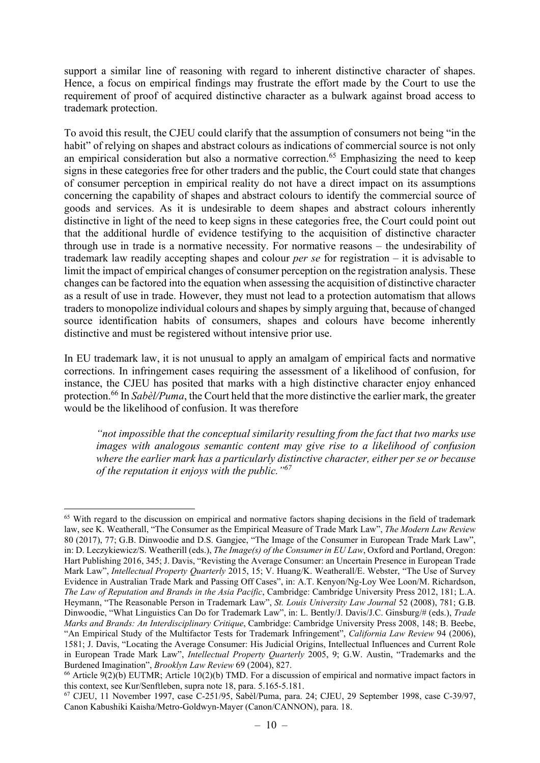support a similar line of reasoning with regard to inherent distinctive character of shapes. Hence, a focus on empirical findings may frustrate the effort made by the Court to use the requirement of proof of acquired distinctive character as a bulwark against broad access to trademark protection.

To avoid this result, the CJEU could clarify that the assumption of consumers not being "in the habit" of relying on shapes and abstract colours as indications of commercial source is not only an empirical consideration but also a normative correction.<sup>65</sup> Emphasizing the need to keep signs in these categories free for other traders and the public, the Court could state that changes of consumer perception in empirical reality do not have a direct impact on its assumptions concerning the capability of shapes and abstract colours to identify the commercial source of goods and services. As it is undesirable to deem shapes and abstract colours inherently distinctive in light of the need to keep signs in these categories free, the Court could point out that the additional hurdle of evidence testifying to the acquisition of distinctive character through use in trade is a normative necessity. For normative reasons – the undesirability of trademark law readily accepting shapes and colour per se for registration – it is advisable to limit the impact of empirical changes of consumer perception on the registration analysis. These changes can be factored into the equation when assessing the acquisition of distinctive character as a result of use in trade. However, they must not lead to a protection automatism that allows traders to monopolize individual colours and shapes by simply arguing that, because of changed source identification habits of consumers, shapes and colours have become inherently distinctive and must be registered without intensive prior use.

In EU trademark law, it is not unusual to apply an amalgam of empirical facts and normative corrections. In infringement cases requiring the assessment of a likelihood of confusion, for instance, the CJEU has posited that marks with a high distinctive character enjoy enhanced protection.<sup>66</sup> In Sabèl/Puma, the Court held that the more distinctive the earlier mark, the greater would be the likelihood of confusion. It was therefore

"not impossible that the conceptual similarity resulting from the fact that two marks use images with analogous semantic content may give rise to a likelihood of confusion where the earlier mark has a particularly distinctive character, either per se or because of the reputation it enjoys with the public."<sup>67</sup>

<sup>&</sup>lt;sup>65</sup> With regard to the discussion on empirical and normative factors shaping decisions in the field of trademark law, see K. Weatherall, "The Consumer as the Empirical Measure of Trade Mark Law", The Modern Law Review 80 (2017), 77; G.B. Dinwoodie and D.S. Gangjee, "The Image of the Consumer in European Trade Mark Law", in: D. Leczykiewicz/S. Weatherill (eds.), The Image(s) of the Consumer in EU Law, Oxford and Portland, Oregon: Hart Publishing 2016, 345; J. Davis, "Revisting the Average Consumer: an Uncertain Presence in European Trade Mark Law", Intellectual Property Quarterly 2015, 15; V. Huang/K. Weatherall/E. Webster, "The Use of Survey Evidence in Australian Trade Mark and Passing Off Cases", in: A.T. Kenyon/Ng-Loy Wee Loon/M. Richardson, The Law of Reputation and Brands in the Asia Pacific, Cambridge: Cambridge University Press 2012, 181; L.A. Heymann, "The Reasonable Person in Trademark Law", St. Louis University Law Journal 52 (2008), 781; G.B. Dinwoodie, "What Linguistics Can Do for Trademark Law", in: L. Bently/J. Davis/J.C. Ginsburg/# (eds.), Trade Marks and Brands: An Interdisciplinary Critique, Cambridge: Cambridge University Press 2008, 148; B. Beebe, "An Empirical Study of the Multifactor Tests for Trademark Infringement", California Law Review 94 (2006), 1581; J. Davis, "Locating the Average Consumer: His Judicial Origins, Intellectual Influences and Current Role in European Trade Mark Law", Intellectual Property Quarterly 2005, 9; G.W. Austin, "Trademarks and the Burdened Imagination", Brooklyn Law Review 69 (2004), 827.

<sup>&</sup>lt;sup>66</sup> Article 9(2)(b) EUTMR; Article 10(2)(b) TMD. For a discussion of empirical and normative impact factors in this context, see Kur/Senftleben, supra note 18, para. 5.165-5.181.

<sup>67</sup> CJEU, 11 November 1997, case C-251/95, Sabèl/Puma, para. 24; CJEU, 29 September 1998, case C-39/97, Canon Kabushiki Kaisha/Metro-Goldwyn-Mayer (Canon/CANNON), para. 18.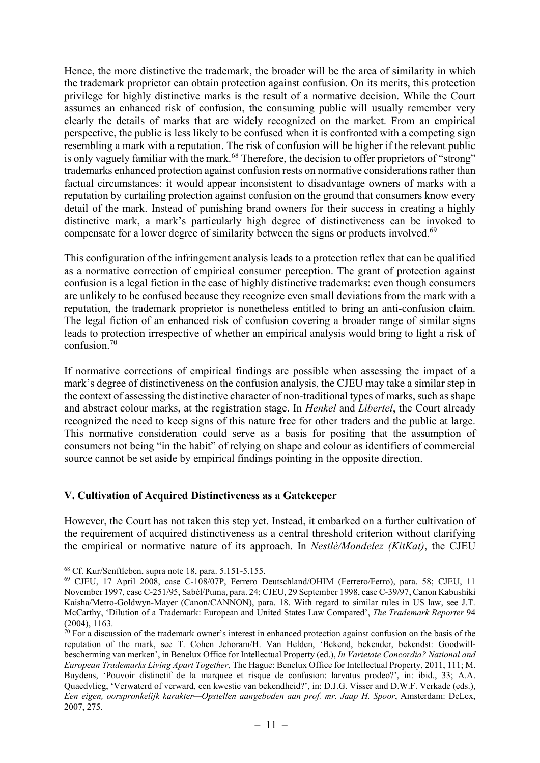Hence, the more distinctive the trademark, the broader will be the area of similarity in which the trademark proprietor can obtain protection against confusion. On its merits, this protection privilege for highly distinctive marks is the result of a normative decision. While the Court assumes an enhanced risk of confusion, the consuming public will usually remember very clearly the details of marks that are widely recognized on the market. From an empirical perspective, the public is less likely to be confused when it is confronted with a competing sign resembling a mark with a reputation. The risk of confusion will be higher if the relevant public is only vaguely familiar with the mark.<sup>68</sup> Therefore, the decision to offer proprietors of "strong" trademarks enhanced protection against confusion rests on normative considerations rather than factual circumstances: it would appear inconsistent to disadvantage owners of marks with a reputation by curtailing protection against confusion on the ground that consumers know every detail of the mark. Instead of punishing brand owners for their success in creating a highly distinctive mark, a mark's particularly high degree of distinctiveness can be invoked to compensate for a lower degree of similarity between the signs or products involved.<sup>69</sup>

This configuration of the infringement analysis leads to a protection reflex that can be qualified as a normative correction of empirical consumer perception. The grant of protection against confusion is a legal fiction in the case of highly distinctive trademarks: even though consumers are unlikely to be confused because they recognize even small deviations from the mark with a reputation, the trademark proprietor is nonetheless entitled to bring an anti-confusion claim. The legal fiction of an enhanced risk of confusion covering a broader range of similar signs leads to protection irrespective of whether an empirical analysis would bring to light a risk of  $\text{confusion}$ <sup>70</sup>

If normative corrections of empirical findings are possible when assessing the impact of a mark's degree of distinctiveness on the confusion analysis, the CJEU may take a similar step in the context of assessing the distinctive character of non-traditional types of marks, such as shape and abstract colour marks, at the registration stage. In Henkel and Libertel, the Court already recognized the need to keep signs of this nature free for other traders and the public at large. This normative consideration could serve as a basis for positing that the assumption of consumers not being "in the habit" of relying on shape and colour as identifiers of commercial source cannot be set aside by empirical findings pointing in the opposite direction.

## V. Cultivation of Acquired Distinctiveness as a Gatekeeper

However, the Court has not taken this step yet. Instead, it embarked on a further cultivation of the requirement of acquired distinctiveness as a central threshold criterion without clarifying the empirical or normative nature of its approach. In *Nestlé/Mondelez (KitKat)*, the CJEU

<sup>68</sup> Cf. Kur/Senftleben, supra note 18, para. 5.151-5.155.

<sup>69</sup> CJEU, 17 April 2008, case C-108/07P, Ferrero Deutschland/OHIM (Ferrero/Ferro), para. 58; CJEU, 11 November 1997, case C-251/95, Sabèl/Puma, para. 24; CJEU, 29 September 1998, case C-39/97, Canon Kabushiki Kaisha/Metro-Goldwyn-Mayer (Canon/CANNON), para. 18. With regard to similar rules in US law, see J.T. McCarthy, 'Dilution of a Trademark: European and United States Law Compared', The Trademark Reporter 94 (2004), 1163.

 $70$  For a discussion of the trademark owner's interest in enhanced protection against confusion on the basis of the reputation of the mark, see T. Cohen Jehoram/H. Van Helden, 'Bekend, bekender, bekendst: Goodwillbescherming van merken', in Benelux Office for Intellectual Property (ed.), In Varietate Concordia? National and European Trademarks Living Apart Together, The Hague: Benelux Office for Intellectual Property, 2011, 111; M. Buydens, 'Pouvoir distinctif de la marquee et risque de confusion: larvatus prodeo?', in: ibid., 33; A.A. Quaedvlieg, 'Verwaterd of verward, een kwestie van bekendheid?', in: D.J.G. Visser and D.W.F. Verkade (eds.), Een eigen, oorspronkelijk karakter—Opstellen aangeboden aan prof. mr. Jaap H. Spoor, Amsterdam: DeLex, 2007, 275.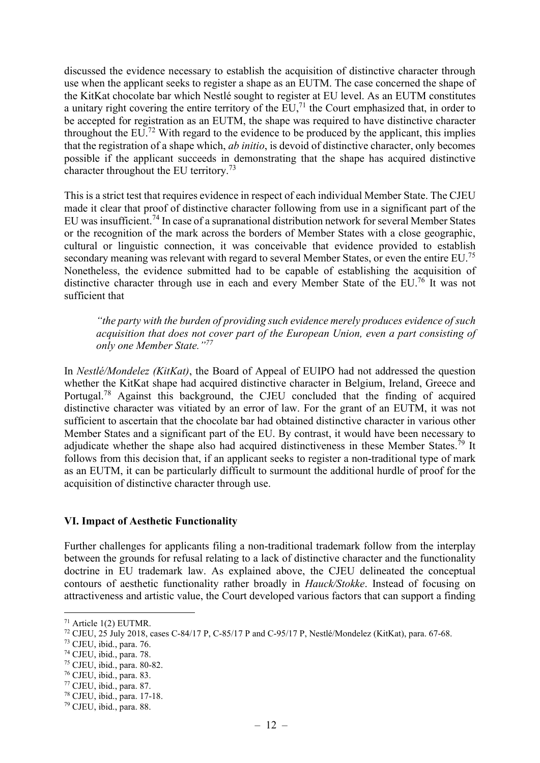discussed the evidence necessary to establish the acquisition of distinctive character through use when the applicant seeks to register a shape as an EUTM. The case concerned the shape of the KitKat chocolate bar which Nestlé sought to register at EU level. As an EUTM constitutes a unitary right covering the entire territory of the  $\text{EU}^{71}$ , the Court emphasized that, in order to be accepted for registration as an EUTM, the shape was required to have distinctive character throughout the EU.<sup>72</sup> With regard to the evidence to be produced by the applicant, this implies that the registration of a shape which, ab initio, is devoid of distinctive character, only becomes possible if the applicant succeeds in demonstrating that the shape has acquired distinctive character throughout the EU territory.<sup>73</sup>

This is a strict test that requires evidence in respect of each individual Member State. The CJEU made it clear that proof of distinctive character following from use in a significant part of the EU was insufficient.<sup>74</sup> In case of a supranational distribution network for several Member States or the recognition of the mark across the borders of Member States with a close geographic, cultural or linguistic connection, it was conceivable that evidence provided to establish secondary meaning was relevant with regard to several Member States, or even the entire EU.<sup>75</sup> Nonetheless, the evidence submitted had to be capable of establishing the acquisition of distinctive character through use in each and every Member State of the EU.<sup>76</sup> It was not sufficient that

"the party with the burden of providing such evidence merely produces evidence of such acquisition that does not cover part of the European Union, even a part consisting of only one Member State."<sup>77</sup>

In Nestlé/Mondelez (KitKat), the Board of Appeal of EUIPO had not addressed the question whether the KitKat shape had acquired distinctive character in Belgium, Ireland, Greece and Portugal.<sup>78</sup> Against this background, the CJEU concluded that the finding of acquired distinctive character was vitiated by an error of law. For the grant of an EUTM, it was not sufficient to ascertain that the chocolate bar had obtained distinctive character in various other Member States and a significant part of the EU. By contrast, it would have been necessary to adjudicate whether the shape also had acquired distinctiveness in these Member States.<sup>79</sup> It follows from this decision that, if an applicant seeks to register a non-traditional type of mark as an EUTM, it can be particularly difficult to surmount the additional hurdle of proof for the acquisition of distinctive character through use.

#### VI. Impact of Aesthetic Functionality

Further challenges for applicants filing a non-traditional trademark follow from the interplay between the grounds for refusal relating to a lack of distinctive character and the functionality doctrine in EU trademark law. As explained above, the CJEU delineated the conceptual contours of aesthetic functionality rather broadly in Hauck/Stokke. Instead of focusing on attractiveness and artistic value, the Court developed various factors that can support a finding

<sup>71</sup> Article 1(2) EUTMR.

<sup>72</sup> CJEU, 25 July 2018, cases C-84/17 P, C-85/17 P and C-95/17 P, Nestlé/Mondelez (KitKat), para. 67-68.

<sup>73</sup> CJEU, ibid., para. 76.

<sup>74</sup> CJEU, ibid., para. 78.

<sup>75</sup> CJEU, ibid., para. 80-82.

<sup>76</sup> CJEU, ibid., para. 83.

<sup>77</sup> CJEU, ibid., para. 87.

<sup>78</sup> CJEU, ibid., para. 17-18.

<sup>79</sup> CJEU, ibid., para. 88.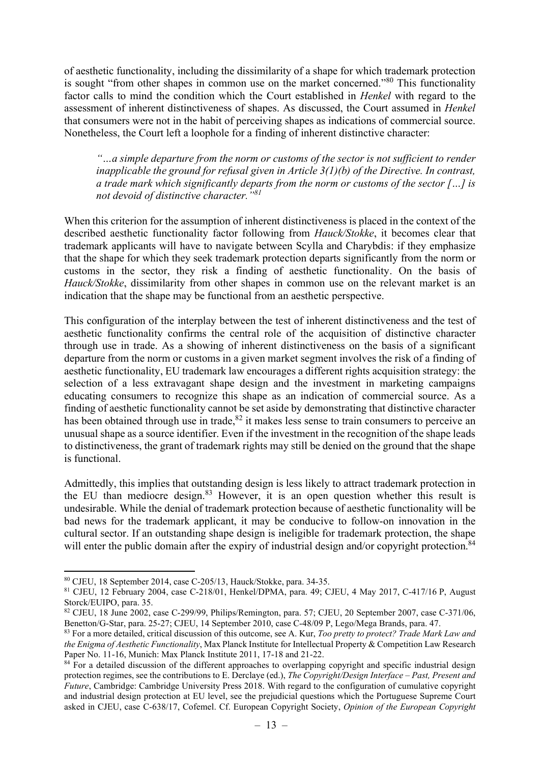of aesthetic functionality, including the dissimilarity of a shape for which trademark protection is sought "from other shapes in common use on the market concerned."<sup>80</sup> This functionality factor calls to mind the condition which the Court established in Henkel with regard to the assessment of inherent distinctiveness of shapes. As discussed, the Court assumed in Henkel that consumers were not in the habit of perceiving shapes as indications of commercial source. Nonetheless, the Court left a loophole for a finding of inherent distinctive character:

"…a simple departure from the norm or customs of the sector is not sufficient to render inapplicable the ground for refusal given in Article  $3(1)(b)$  of the Directive. In contrast, a trade mark which significantly departs from the norm or customs of the sector […] is not devoid of distinctive character.  $^{381}$ 

When this criterion for the assumption of inherent distinctiveness is placed in the context of the described aesthetic functionality factor following from Hauck/Stokke, it becomes clear that trademark applicants will have to navigate between Scylla and Charybdis: if they emphasize that the shape for which they seek trademark protection departs significantly from the norm or customs in the sector, they risk a finding of aesthetic functionality. On the basis of Hauck/Stokke, dissimilarity from other shapes in common use on the relevant market is an indication that the shape may be functional from an aesthetic perspective.

This configuration of the interplay between the test of inherent distinctiveness and the test of aesthetic functionality confirms the central role of the acquisition of distinctive character through use in trade. As a showing of inherent distinctiveness on the basis of a significant departure from the norm or customs in a given market segment involves the risk of a finding of aesthetic functionality, EU trademark law encourages a different rights acquisition strategy: the selection of a less extravagant shape design and the investment in marketing campaigns educating consumers to recognize this shape as an indication of commercial source. As a finding of aesthetic functionality cannot be set aside by demonstrating that distinctive character has been obtained through use in trade,<sup>82</sup> it makes less sense to train consumers to perceive an unusual shape as a source identifier. Even if the investment in the recognition of the shape leads to distinctiveness, the grant of trademark rights may still be denied on the ground that the shape is functional.

Admittedly, this implies that outstanding design is less likely to attract trademark protection in the EU than mediocre design.<sup>83</sup> However, it is an open question whether this result is undesirable. While the denial of trademark protection because of aesthetic functionality will be bad news for the trademark applicant, it may be conducive to follow-on innovation in the cultural sector. If an outstanding shape design is ineligible for trademark protection, the shape will enter the public domain after the expiry of industrial design and/or copyright protection.<sup>84</sup>

 $80$  CJEU, 18 September 2014, case C-205/13, Hauck/Stokke, para. 34-35.

<sup>81</sup> CJEU, 12 February 2004, case C-218/01, Henkel/DPMA, para. 49; CJEU, 4 May 2017, C-417/16 P, August Storck/EUIPO, para. 35.

<sup>82</sup> CJEU, 18 June 2002, case C-299/99, Philips/Remington, para. 57; CJEU, 20 September 2007, case C-371/06, Benetton/G-Star, para. 25-27; CJEU, 14 September 2010, case C-48/09 P, Lego/Mega Brands, para. 47.

<sup>&</sup>lt;sup>83</sup> For a more detailed, critical discussion of this outcome, see A. Kur, *Too pretty to protect? Trade Mark Law and* the Enigma of Aesthetic Functionality, Max Planck Institute for Intellectual Property & Competition Law Research Paper No. 11-16, Munich: Max Planck Institute 2011, 17-18 and 21-22.

<sup>&</sup>lt;sup>84</sup> For a detailed discussion of the different approaches to overlapping copyright and specific industrial design protection regimes, see the contributions to E. Derclaye (ed.), The Copyright/Design Interface – Past, Present and Future, Cambridge: Cambridge University Press 2018. With regard to the configuration of cumulative copyright and industrial design protection at EU level, see the prejudicial questions which the Portuguese Supreme Court asked in CJEU, case C-638/17, Cofemel. Cf. European Copyright Society, Opinion of the European Copyright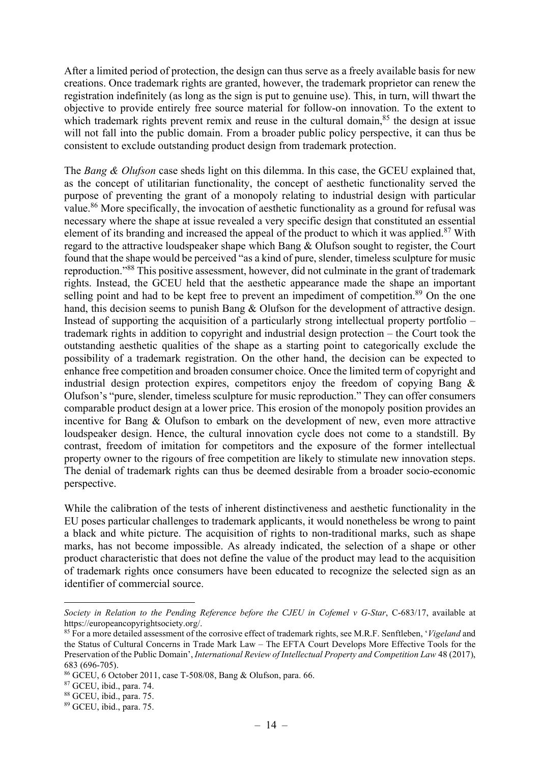After a limited period of protection, the design can thus serve as a freely available basis for new creations. Once trademark rights are granted, however, the trademark proprietor can renew the registration indefinitely (as long as the sign is put to genuine use). This, in turn, will thwart the objective to provide entirely free source material for follow-on innovation. To the extent to which trademark rights prevent remix and reuse in the cultural domain,  $85$  the design at issue will not fall into the public domain. From a broader public policy perspective, it can thus be consistent to exclude outstanding product design from trademark protection.

The Bang & Olufson case sheds light on this dilemma. In this case, the GCEU explained that, as the concept of utilitarian functionality, the concept of aesthetic functionality served the purpose of preventing the grant of a monopoly relating to industrial design with particular value.<sup>86</sup> More specifically, the invocation of aesthetic functionality as a ground for refusal was necessary where the shape at issue revealed a very specific design that constituted an essential element of its branding and increased the appeal of the product to which it was applied.<sup>87</sup> With regard to the attractive loudspeaker shape which Bang & Olufson sought to register, the Court found that the shape would be perceived "as a kind of pure, slender, timeless sculpture for music reproduction."<sup>88</sup> This positive assessment, however, did not culminate in the grant of trademark rights. Instead, the GCEU held that the aesthetic appearance made the shape an important selling point and had to be kept free to prevent an impediment of competition.<sup>89</sup> On the one hand, this decision seems to punish Bang & Olufson for the development of attractive design. Instead of supporting the acquisition of a particularly strong intellectual property portfolio – trademark rights in addition to copyright and industrial design protection – the Court took the outstanding aesthetic qualities of the shape as a starting point to categorically exclude the possibility of a trademark registration. On the other hand, the decision can be expected to enhance free competition and broaden consumer choice. Once the limited term of copyright and industrial design protection expires, competitors enjoy the freedom of copying Bang & Olufson's "pure, slender, timeless sculpture for music reproduction." They can offer consumers comparable product design at a lower price. This erosion of the monopoly position provides an incentive for Bang & Olufson to embark on the development of new, even more attractive loudspeaker design. Hence, the cultural innovation cycle does not come to a standstill. By contrast, freedom of imitation for competitors and the exposure of the former intellectual property owner to the rigours of free competition are likely to stimulate new innovation steps. The denial of trademark rights can thus be deemed desirable from a broader socio-economic perspective.

While the calibration of the tests of inherent distinctiveness and aesthetic functionality in the EU poses particular challenges to trademark applicants, it would nonetheless be wrong to paint a black and white picture. The acquisition of rights to non-traditional marks, such as shape marks, has not become impossible. As already indicated, the selection of a shape or other product characteristic that does not define the value of the product may lead to the acquisition of trademark rights once consumers have been educated to recognize the selected sign as an identifier of commercial source.

Society in Relation to the Pending Reference before the CJEU in Cofemel v G-Star, C-683/17, available at https://europeancopyrightsociety.org/.

<sup>&</sup>lt;sup>85</sup> For a more detailed assessment of the corrosive effect of trademark rights, see M.R.F. Senftleben, 'Vigeland and the Status of Cultural Concerns in Trade Mark Law – The EFTA Court Develops More Effective Tools for the Preservation of the Public Domain', International Review of Intellectual Property and Competition Law 48 (2017), 683 (696-705).

<sup>86</sup> GCEU, 6 October 2011, case T-508/08, Bang & Olufson, para. 66.

<sup>87</sup> GCEU, ibid., para. 74.

<sup>88</sup> GCEU, ibid., para. 75.

<sup>89</sup> GCEU, ibid., para. 75.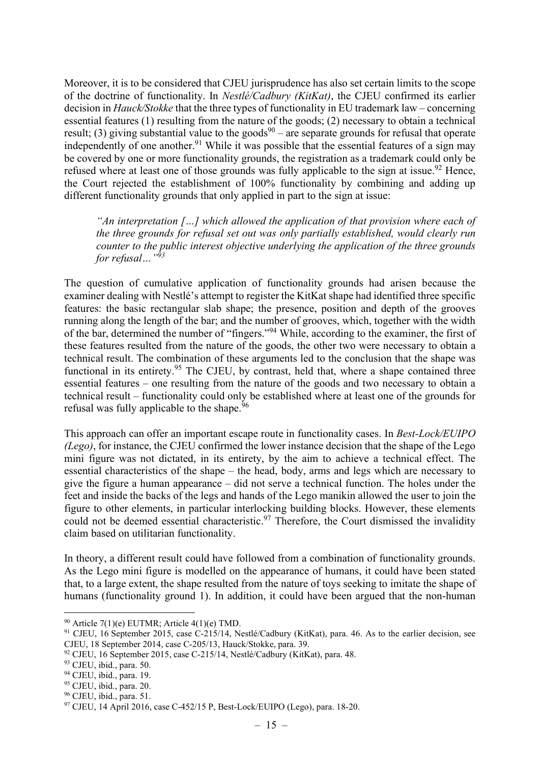Moreover, it is to be considered that CJEU jurisprudence has also set certain limits to the scope of the doctrine of functionality. In Nestlé/Cadbury (KitKat), the CJEU confirmed its earlier decision in Hauck/Stokke that the three types of functionality in EU trademark law – concerning essential features (1) resulting from the nature of the goods; (2) necessary to obtain a technical result; (3) giving substantial value to the goods<sup>90</sup> – are separate grounds for refusal that operate independently of one another.<sup>91</sup> While it was possible that the essential features of a sign may be covered by one or more functionality grounds, the registration as a trademark could only be refused where at least one of those grounds was fully applicable to the sign at issue.<sup>92</sup> Hence, the Court rejected the establishment of 100% functionality by combining and adding up different functionality grounds that only applied in part to the sign at issue:

"An interpretation  $[\dots]$  which allowed the application of that provision where each of the three grounds for refusal set out was only partially established, would clearly run counter to the public interest objective underlying the application of the three grounds for refusal..." $^{93}$ 

The question of cumulative application of functionality grounds had arisen because the examiner dealing with Nestlé's attempt to register the KitKat shape had identified three specific features: the basic rectangular slab shape; the presence, position and depth of the grooves running along the length of the bar; and the number of grooves, which, together with the width of the bar, determined the number of "fingers."<sup>94</sup> While, according to the examiner, the first of these features resulted from the nature of the goods, the other two were necessary to obtain a technical result. The combination of these arguments led to the conclusion that the shape was functional in its entirety.<sup>95</sup> The CJEU, by contrast, held that, where a shape contained three essential features – one resulting from the nature of the goods and two necessary to obtain a technical result – functionality could only be established where at least one of the grounds for refusal was fully applicable to the shape.  $96$ 

This approach can offer an important escape route in functionality cases. In Best-Lock/EUIPO (Lego), for instance, the CJEU confirmed the lower instance decision that the shape of the Lego mini figure was not dictated, in its entirety, by the aim to achieve a technical effect. The essential characteristics of the shape – the head, body, arms and legs which are necessary to give the figure a human appearance – did not serve a technical function. The holes under the feet and inside the backs of the legs and hands of the Lego manikin allowed the user to join the figure to other elements, in particular interlocking building blocks. However, these elements could not be deemed essential characteristic.<sup>97</sup> Therefore, the Court dismissed the invalidity claim based on utilitarian functionality.

In theory, a different result could have followed from a combination of functionality grounds. As the Lego mini figure is modelled on the appearance of humans, it could have been stated that, to a large extent, the shape resulted from the nature of toys seeking to imitate the shape of humans (functionality ground 1). In addition, it could have been argued that the non-human

 $90$  Article 7(1)(e) EUTMR; Article 4(1)(e) TMD.

<sup>91</sup> CJEU, 16 September 2015, case C-215/14, Nestlé/Cadbury (KitKat), para. 46. As to the earlier decision, see CJEU, 18 September 2014, case C-205/13, Hauck/Stokke, para. 39.

<sup>92</sup> CJEU, 16 September 2015, case C-215/14, Nestlé/Cadbury (KitKat), para. 48.

<sup>93</sup> CJEU, ibid., para. 50.

<sup>94</sup> CJEU, ibid., para. 19.

 $95$  CJEU, ibid., para. 20.

<sup>&</sup>lt;sup>96</sup> CJEU, ibid., para. 51.

<sup>97</sup> CJEU, 14 April 2016, case C-452/15 P, Best-Lock/EUIPO (Lego), para. 18-20.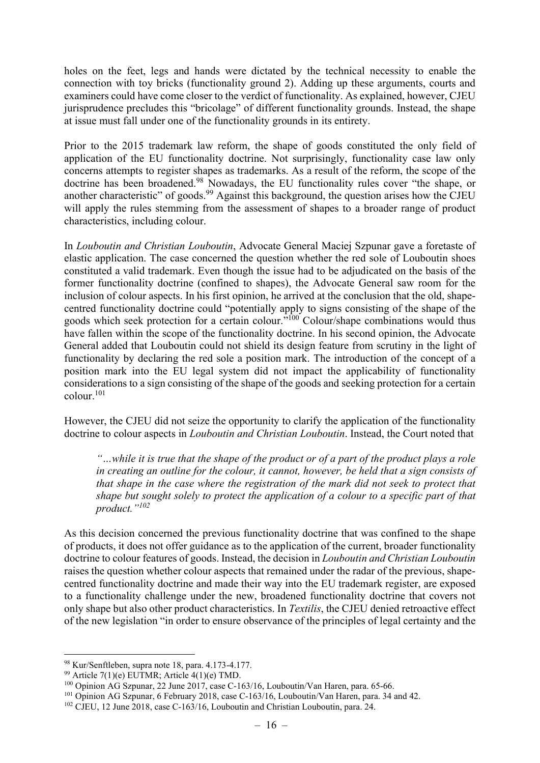holes on the feet, legs and hands were dictated by the technical necessity to enable the connection with toy bricks (functionality ground 2). Adding up these arguments, courts and examiners could have come closer to the verdict of functionality. As explained, however, CJEU jurisprudence precludes this "bricolage" of different functionality grounds. Instead, the shape at issue must fall under one of the functionality grounds in its entirety.

Prior to the 2015 trademark law reform, the shape of goods constituted the only field of application of the EU functionality doctrine. Not surprisingly, functionality case law only concerns attempts to register shapes as trademarks. As a result of the reform, the scope of the doctrine has been broadened.<sup>98</sup> Nowadays, the EU functionality rules cover "the shape, or another characteristic" of goods.<sup>99</sup> Against this background, the question arises how the CJEU will apply the rules stemming from the assessment of shapes to a broader range of product characteristics, including colour.

In Louboutin and Christian Louboutin, Advocate General Maciej Szpunar gave a foretaste of elastic application. The case concerned the question whether the red sole of Louboutin shoes constituted a valid trademark. Even though the issue had to be adjudicated on the basis of the former functionality doctrine (confined to shapes), the Advocate General saw room for the inclusion of colour aspects. In his first opinion, he arrived at the conclusion that the old, shapecentred functionality doctrine could "potentially apply to signs consisting of the shape of the goods which seek protection for a certain colour."<sup>100</sup> Colour/shape combinations would thus have fallen within the scope of the functionality doctrine. In his second opinion, the Advocate General added that Louboutin could not shield its design feature from scrutiny in the light of functionality by declaring the red sole a position mark. The introduction of the concept of a position mark into the EU legal system did not impact the applicability of functionality considerations to a sign consisting of the shape of the goods and seeking protection for a certain colour.<sup>101</sup>

However, the CJEU did not seize the opportunity to clarify the application of the functionality doctrine to colour aspects in *Louboutin and Christian Louboutin*. Instead, the Court noted that

"…while it is true that the shape of the product or of a part of the product plays a role in creating an outline for the colour, it cannot, however, be held that a sign consists of that shape in the case where the registration of the mark did not seek to protect that shape but sought solely to protect the application of a colour to a specific part of that product. "<sup>102</sup>

As this decision concerned the previous functionality doctrine that was confined to the shape of products, it does not offer guidance as to the application of the current, broader functionality doctrine to colour features of goods. Instead, the decision in *Louboutin and Christian Louboutin* raises the question whether colour aspects that remained under the radar of the previous, shapecentred functionality doctrine and made their way into the EU trademark register, are exposed to a functionality challenge under the new, broadened functionality doctrine that covers not only shape but also other product characteristics. In Textilis, the CJEU denied retroactive effect of the new legislation "in order to ensure observance of the principles of legal certainty and the

<sup>98</sup> Kur/Senftleben, supra note 18, para. 4.173-4.177.

<sup>&</sup>lt;sup>99</sup> Article 7(1)(e) EUTMR; Article 4(1)(e) TMD.

<sup>100</sup> Opinion AG Szpunar, 22 June 2017, case C-163/16, Louboutin/Van Haren, para. 65-66.

<sup>&</sup>lt;sup>101</sup> Opinion AG Szpunar, 6 February 2018, case C-163/16, Louboutin/Van Haren, para. 34 and 42.

<sup>102</sup> CJEU, 12 June 2018, case C-163/16, Louboutin and Christian Louboutin, para. 24.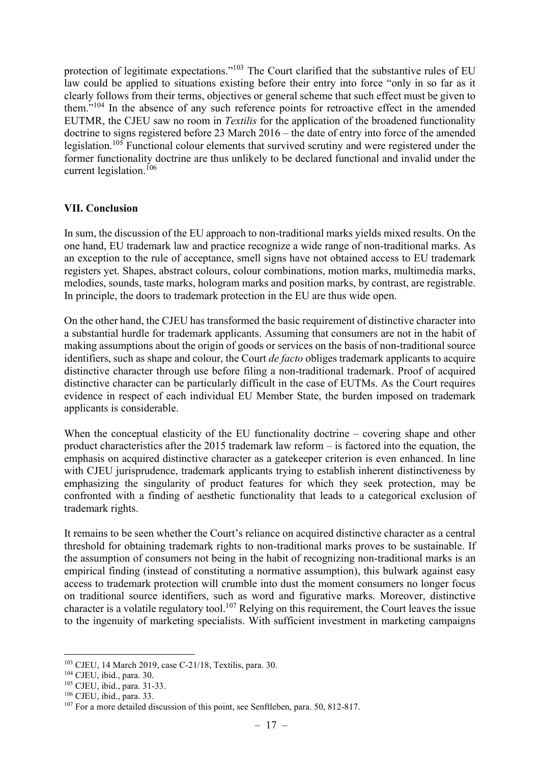protection of legitimate expectations."<sup>103</sup> The Court clarified that the substantive rules of EU law could be applied to situations existing before their entry into force "only in so far as it clearly follows from their terms, objectives or general scheme that such effect must be given to them."<sup>104</sup> In the absence of any such reference points for retroactive effect in the amended EUTMR, the CJEU saw no room in Textilis for the application of the broadened functionality doctrine to signs registered before 23 March 2016 – the date of entry into force of the amended legislation.<sup>105</sup> Functional colour elements that survived scrutiny and were registered under the former functionality doctrine are thus unlikely to be declared functional and invalid under the current legislation.<sup>106</sup>

## VII. Conclusion

In sum, the discussion of the EU approach to non-traditional marks yields mixed results. On the one hand, EU trademark law and practice recognize a wide range of non-traditional marks. As an exception to the rule of acceptance, smell signs have not obtained access to EU trademark registers yet. Shapes, abstract colours, colour combinations, motion marks, multimedia marks, melodies, sounds, taste marks, hologram marks and position marks, by contrast, are registrable. In principle, the doors to trademark protection in the EU are thus wide open.

On the other hand, the CJEU has transformed the basic requirement of distinctive character into a substantial hurdle for trademark applicants. Assuming that consumers are not in the habit of making assumptions about the origin of goods or services on the basis of non-traditional source identifiers, such as shape and colour, the Court *de facto* obliges trademark applicants to acquire distinctive character through use before filing a non-traditional trademark. Proof of acquired distinctive character can be particularly difficult in the case of EUTMs. As the Court requires evidence in respect of each individual EU Member State, the burden imposed on trademark applicants is considerable.

When the conceptual elasticity of the EU functionality doctrine – covering shape and other product characteristics after the 2015 trademark law reform – is factored into the equation, the emphasis on acquired distinctive character as a gatekeeper criterion is even enhanced. In line with CJEU jurisprudence, trademark applicants trying to establish inherent distinctiveness by emphasizing the singularity of product features for which they seek protection, may be confronted with a finding of aesthetic functionality that leads to a categorical exclusion of trademark rights.

It remains to be seen whether the Court's reliance on acquired distinctive character as a central threshold for obtaining trademark rights to non-traditional marks proves to be sustainable. If the assumption of consumers not being in the habit of recognizing non-traditional marks is an empirical finding (instead of constituting a normative assumption), this bulwark against easy access to trademark protection will crumble into dust the moment consumers no longer focus on traditional source identifiers, such as word and figurative marks. Moreover, distinctive character is a volatile regulatory tool.<sup>107</sup> Relying on this requirement, the Court leaves the issue to the ingenuity of marketing specialists. With sufficient investment in marketing campaigns

<sup>103</sup> CJEU, 14 March 2019, case C-21/18, Textilis, para. 30.

<sup>104</sup> CJEU, ibid., para. 30.

<sup>105</sup> CJEU, ibid., para. 31-33.

<sup>106</sup> CJEU, ibid., para. 33.

<sup>&</sup>lt;sup>107</sup> For a more detailed discussion of this point, see Senftleben, para. 50, 812-817.